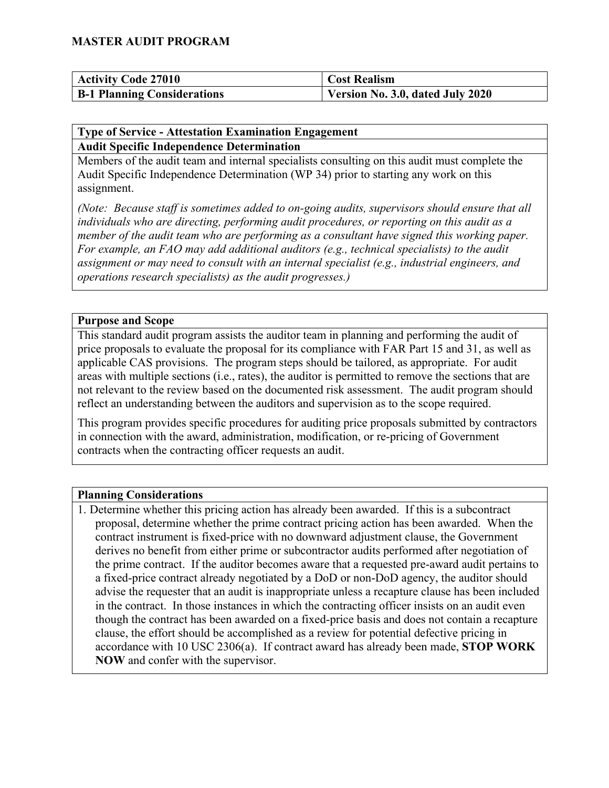| <b>Activity Code 27010</b>         | <b>Cost Realism</b>              |
|------------------------------------|----------------------------------|
| <b>B-1 Planning Considerations</b> | Version No. 3.0, dated July 2020 |

#### **Type of Service - Attestation Examination Engagement Audit Specific Independence Determination**

Members of the audit team and internal specialists consulting on this audit must complete the Audit Specific Independence Determination (WP 34) prior to starting any work on this assignment.

*(Note: Because staff is sometimes added to on-going audits, supervisors should ensure that all individuals who are directing, performing audit procedures, or reporting on this audit as a member of the audit team who are performing as a consultant have signed this working paper. For example, an FAO may add additional auditors (e.g., technical specialists) to the audit assignment or may need to consult with an internal specialist (e.g., industrial engineers, and operations research specialists) as the audit progresses.)*

#### **Purpose and Scope**

This standard audit program assists the auditor team in planning and performing the audit of price proposals to evaluate the proposal for its compliance with FAR Part 15 and 31, as well as applicable CAS provisions. The program steps should be tailored, as appropriate. For audit areas with multiple sections (i.e., rates), the auditor is permitted to remove the sections that are not relevant to the review based on the documented risk assessment. The audit program should reflect an understanding between the auditors and supervision as to the scope required.

This program provides specific procedures for auditing price proposals submitted by contractors in connection with the award, administration, modification, or re-pricing of Government contracts when the contracting officer requests an audit.

#### **Planning Considerations**

1. Determine whether this pricing action has already been awarded. If this is a subcontract proposal, determine whether the prime contract pricing action has been awarded. When the contract instrument is fixed-price with no downward adjustment clause, the Government derives no benefit from either prime or subcontractor audits performed after negotiation of the prime contract. If the auditor becomes aware that a requested pre-award audit pertains to a fixed-price contract already negotiated by a DoD or non-DoD agency, the auditor should advise the requester that an audit is inappropriate unless a recapture clause has been included in the contract. In those instances in which the contracting officer insists on an audit even though the contract has been awarded on a fixed-price basis and does not contain a recapture clause, the effort should be accomplished as a review for potential defective pricing in accordance with 10 USC 2306(a). If contract award has already been made, **STOP WORK NOW** and confer with the supervisor.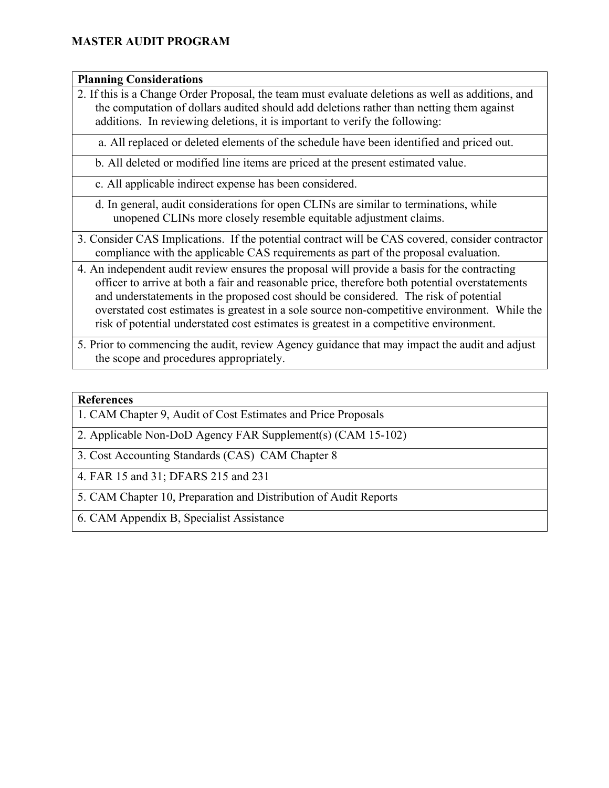#### **Planning Considerations**

2. If this is a Change Order Proposal, the team must evaluate deletions as well as additions, and the computation of dollars audited should add deletions rather than netting them against additions. In reviewing deletions, it is important to verify the following:

a. All replaced or deleted elements of the schedule have been identified and priced out.

b. All deleted or modified line items are priced at the present estimated value.

- c. All applicable indirect expense has been considered.
- d. In general, audit considerations for open CLINs are similar to terminations, while unopened CLINs more closely resemble equitable adjustment claims.
- 3. Consider CAS Implications. If the potential contract will be CAS covered, consider contractor compliance with the applicable CAS requirements as part of the proposal evaluation.
- 4. An independent audit review ensures the proposal will provide a basis for the contracting officer to arrive at both a fair and reasonable price, therefore both potential overstatements and understatements in the proposed cost should be considered. The risk of potential overstated cost estimates is greatest in a sole source non-competitive environment. While the risk of potential understated cost estimates is greatest in a competitive environment.
- 5. Prior to commencing the audit, review Agency guidance that may impact the audit and adjust the scope and procedures appropriately.

#### **References**

- 1. CAM Chapter 9, Audit of Cost Estimates and Price Proposals
- 2. Applicable Non-DoD Agency FAR Supplement(s) (CAM 15-102)
- 3. Cost Accounting Standards (CAS) CAM Chapter 8
- 4. FAR 15 and 31; DFARS 215 and 231
- 5. CAM Chapter 10, Preparation and Distribution of Audit Reports
- 6. CAM Appendix B, Specialist Assistance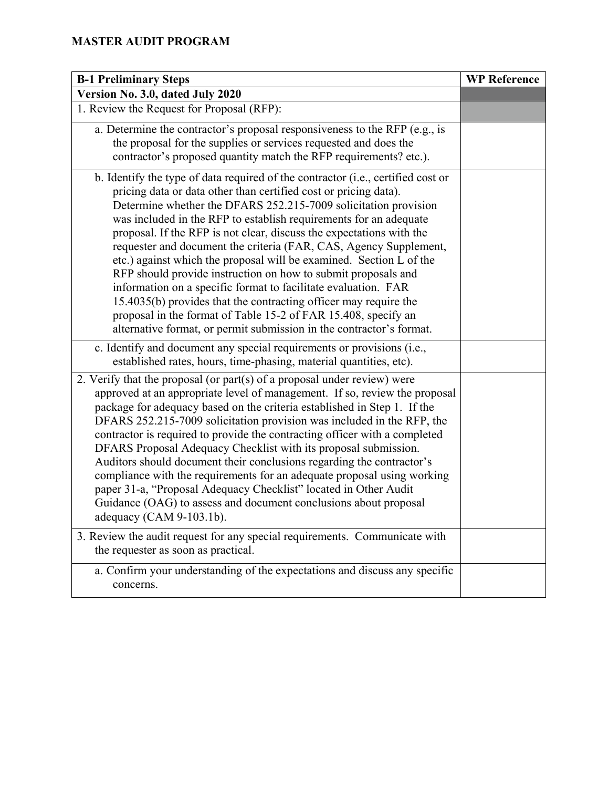| <b>B-1 Preliminary Steps</b>                                                                                                                                                                                                                                                                                                                                                                                                                                                                                                                                                                                                                                                                                                                                                                                                                                      | <b>WP Reference</b> |
|-------------------------------------------------------------------------------------------------------------------------------------------------------------------------------------------------------------------------------------------------------------------------------------------------------------------------------------------------------------------------------------------------------------------------------------------------------------------------------------------------------------------------------------------------------------------------------------------------------------------------------------------------------------------------------------------------------------------------------------------------------------------------------------------------------------------------------------------------------------------|---------------------|
| Version No. 3.0, dated July 2020                                                                                                                                                                                                                                                                                                                                                                                                                                                                                                                                                                                                                                                                                                                                                                                                                                  |                     |
| 1. Review the Request for Proposal (RFP):                                                                                                                                                                                                                                                                                                                                                                                                                                                                                                                                                                                                                                                                                                                                                                                                                         |                     |
| a. Determine the contractor's proposal responsiveness to the RFP (e.g., is<br>the proposal for the supplies or services requested and does the<br>contractor's proposed quantity match the RFP requirements? etc.).                                                                                                                                                                                                                                                                                                                                                                                                                                                                                                                                                                                                                                               |                     |
| b. Identify the type of data required of the contractor (i.e., certified cost or<br>pricing data or data other than certified cost or pricing data).<br>Determine whether the DFARS 252.215-7009 solicitation provision<br>was included in the RFP to establish requirements for an adequate<br>proposal. If the RFP is not clear, discuss the expectations with the<br>requester and document the criteria (FAR, CAS, Agency Supplement,<br>etc.) against which the proposal will be examined. Section L of the<br>RFP should provide instruction on how to submit proposals and<br>information on a specific format to facilitate evaluation. FAR<br>15.4035(b) provides that the contracting officer may require the<br>proposal in the format of Table 15-2 of FAR 15.408, specify an<br>alternative format, or permit submission in the contractor's format. |                     |
| c. Identify and document any special requirements or provisions (i.e.,<br>established rates, hours, time-phasing, material quantities, etc).                                                                                                                                                                                                                                                                                                                                                                                                                                                                                                                                                                                                                                                                                                                      |                     |
| 2. Verify that the proposal (or part(s) of a proposal under review) were<br>approved at an appropriate level of management. If so, review the proposal<br>package for adequacy based on the criteria established in Step 1. If the<br>DFARS 252.215-7009 solicitation provision was included in the RFP, the<br>contractor is required to provide the contracting officer with a completed<br>DFARS Proposal Adequacy Checklist with its proposal submission.<br>Auditors should document their conclusions regarding the contractor's<br>compliance with the requirements for an adequate proposal using working<br>paper 31-a, "Proposal Adequacy Checklist" located in Other Audit<br>Guidance (OAG) to assess and document conclusions about proposal<br>adequacy (CAM 9-103.1b).                                                                             |                     |
| 3. Review the audit request for any special requirements. Communicate with<br>the requester as soon as practical.                                                                                                                                                                                                                                                                                                                                                                                                                                                                                                                                                                                                                                                                                                                                                 |                     |
| a. Confirm your understanding of the expectations and discuss any specific<br>concerns.                                                                                                                                                                                                                                                                                                                                                                                                                                                                                                                                                                                                                                                                                                                                                                           |                     |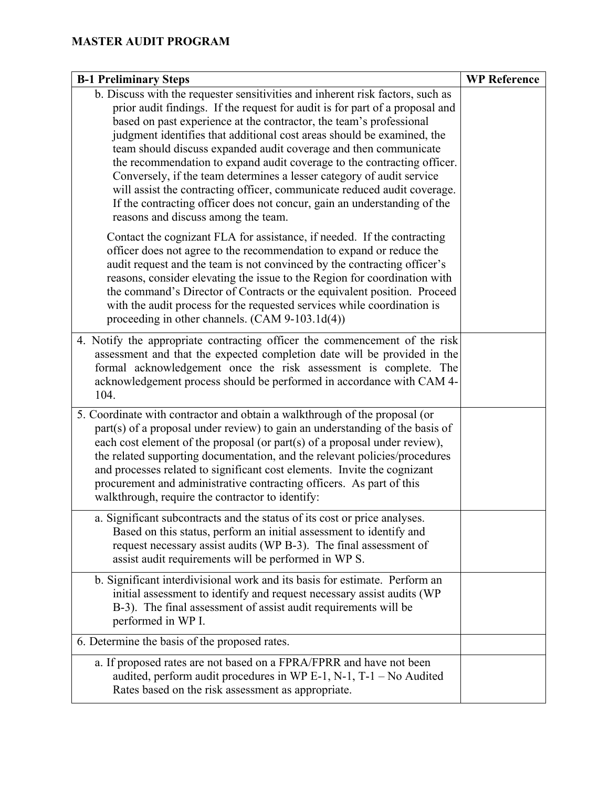| <b>B-1 Preliminary Steps</b>                                                                                                                                                                                                                                                                                                                                                                                                                                                                                                                                                                                                                                                                                                           | <b>WP Reference</b> |
|----------------------------------------------------------------------------------------------------------------------------------------------------------------------------------------------------------------------------------------------------------------------------------------------------------------------------------------------------------------------------------------------------------------------------------------------------------------------------------------------------------------------------------------------------------------------------------------------------------------------------------------------------------------------------------------------------------------------------------------|---------------------|
| b. Discuss with the requester sensitivities and inherent risk factors, such as<br>prior audit findings. If the request for audit is for part of a proposal and<br>based on past experience at the contractor, the team's professional<br>judgment identifies that additional cost areas should be examined, the<br>team should discuss expanded audit coverage and then communicate<br>the recommendation to expand audit coverage to the contracting officer.<br>Conversely, if the team determines a lesser category of audit service<br>will assist the contracting officer, communicate reduced audit coverage.<br>If the contracting officer does not concur, gain an understanding of the<br>reasons and discuss among the team. |                     |
| Contact the cognizant FLA for assistance, if needed. If the contracting<br>officer does not agree to the recommendation to expand or reduce the<br>audit request and the team is not convinced by the contracting officer's<br>reasons, consider elevating the issue to the Region for coordination with<br>the command's Director of Contracts or the equivalent position. Proceed<br>with the audit process for the requested services while coordination is<br>proceeding in other channels. (CAM 9-103.1d(4))                                                                                                                                                                                                                      |                     |
| 4. Notify the appropriate contracting officer the commencement of the risk<br>assessment and that the expected completion date will be provided in the<br>formal acknowledgement once the risk assessment is complete. The<br>acknowledgement process should be performed in accordance with CAM 4-<br>104.                                                                                                                                                                                                                                                                                                                                                                                                                            |                     |
| 5. Coordinate with contractor and obtain a walkthrough of the proposal (or<br>$part(s)$ of a proposal under review) to gain an understanding of the basis of<br>each cost element of the proposal (or part(s) of a proposal under review),<br>the related supporting documentation, and the relevant policies/procedures<br>and processes related to significant cost elements. Invite the cognizant<br>procurement and administrative contracting officers. As part of this<br>walkthrough, require the contractor to identify:                                                                                                                                                                                                       |                     |
| a. Significant subcontracts and the status of its cost or price analyses.<br>Based on this status, perform an initial assessment to identify and<br>request necessary assist audits (WP B-3). The final assessment of<br>assist audit requirements will be performed in WP S.                                                                                                                                                                                                                                                                                                                                                                                                                                                          |                     |
| b. Significant interdivisional work and its basis for estimate. Perform an<br>initial assessment to identify and request necessary assist audits (WP<br>B-3). The final assessment of assist audit requirements will be<br>performed in WP I.                                                                                                                                                                                                                                                                                                                                                                                                                                                                                          |                     |
| 6. Determine the basis of the proposed rates.                                                                                                                                                                                                                                                                                                                                                                                                                                                                                                                                                                                                                                                                                          |                     |
| a. If proposed rates are not based on a FPRA/FPRR and have not been<br>audited, perform audit procedures in WP E-1, N-1, T-1 - No Audited<br>Rates based on the risk assessment as appropriate.                                                                                                                                                                                                                                                                                                                                                                                                                                                                                                                                        |                     |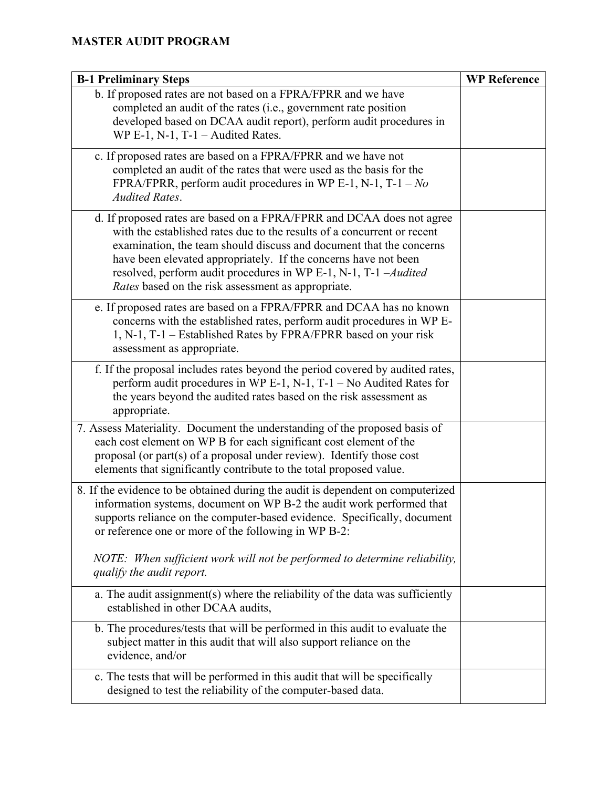| <b>B-1 Preliminary Steps</b>                                                                                                                                                                                                                                                                                                                                                                                        | <b>WP Reference</b> |
|---------------------------------------------------------------------------------------------------------------------------------------------------------------------------------------------------------------------------------------------------------------------------------------------------------------------------------------------------------------------------------------------------------------------|---------------------|
| b. If proposed rates are not based on a FPRA/FPRR and we have<br>completed an audit of the rates (i.e., government rate position<br>developed based on DCAA audit report), perform audit procedures in<br>WP E-1, N-1, T-1 $-$ Audited Rates.                                                                                                                                                                       |                     |
| c. If proposed rates are based on a FPRA/FPRR and we have not<br>completed an audit of the rates that were used as the basis for the<br>FPRA/FPRR, perform audit procedures in WP E-1, N-1, T-1 - $No$<br><b>Audited Rates.</b>                                                                                                                                                                                     |                     |
| d. If proposed rates are based on a FPRA/FPRR and DCAA does not agree<br>with the established rates due to the results of a concurrent or recent<br>examination, the team should discuss and document that the concerns<br>have been elevated appropriately. If the concerns have not been<br>resolved, perform audit procedures in WP E-1, N-1, T-1 -Audited<br>Rates based on the risk assessment as appropriate. |                     |
| e. If proposed rates are based on a FPRA/FPRR and DCAA has no known<br>concerns with the established rates, perform audit procedures in WP E-<br>1, N-1, T-1 – Established Rates by FPRA/FPRR based on your risk<br>assessment as appropriate.                                                                                                                                                                      |                     |
| f. If the proposal includes rates beyond the period covered by audited rates,<br>perform audit procedures in WP E-1, N-1, T-1 - No Audited Rates for<br>the years beyond the audited rates based on the risk assessment as<br>appropriate.                                                                                                                                                                          |                     |
| 7. Assess Materiality. Document the understanding of the proposed basis of<br>each cost element on WP B for each significant cost element of the<br>proposal (or part(s) of a proposal under review). Identify those cost<br>elements that significantly contribute to the total proposed value.                                                                                                                    |                     |
| 8. If the evidence to be obtained during the audit is dependent on computerized<br>information systems, document on WP B-2 the audit work performed that<br>supports reliance on the computer-based evidence. Specifically, document<br>or reference one or more of the following in WP B-2:                                                                                                                        |                     |
| NOTE: When sufficient work will not be performed to determine reliability,<br>qualify the audit report.                                                                                                                                                                                                                                                                                                             |                     |
| a. The audit assignment(s) where the reliability of the data was sufficiently<br>established in other DCAA audits,                                                                                                                                                                                                                                                                                                  |                     |
| b. The procedures/tests that will be performed in this audit to evaluate the<br>subject matter in this audit that will also support reliance on the<br>evidence, and/or                                                                                                                                                                                                                                             |                     |
| c. The tests that will be performed in this audit that will be specifically<br>designed to test the reliability of the computer-based data.                                                                                                                                                                                                                                                                         |                     |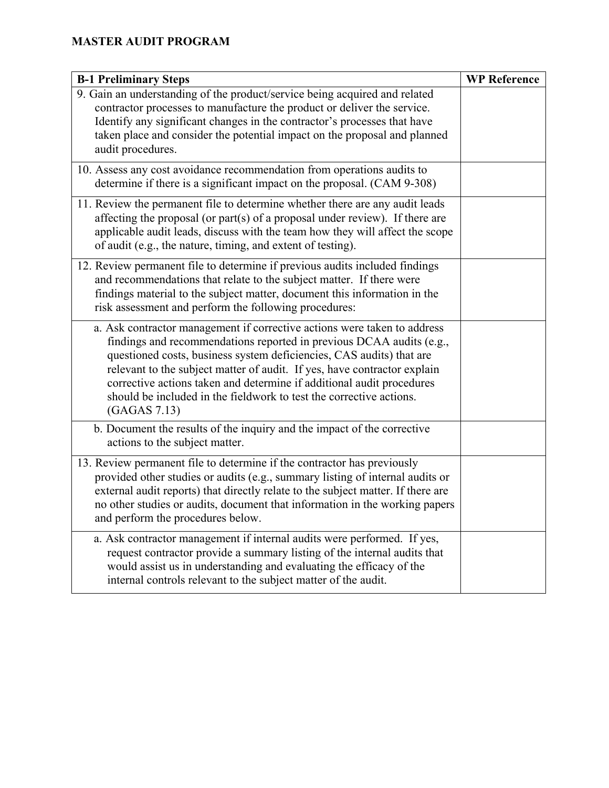| <b>B-1 Preliminary Steps</b>                                                                                                                                                                                                                                                                                                                                                                                                                                         | <b>WP Reference</b> |
|----------------------------------------------------------------------------------------------------------------------------------------------------------------------------------------------------------------------------------------------------------------------------------------------------------------------------------------------------------------------------------------------------------------------------------------------------------------------|---------------------|
| 9. Gain an understanding of the product/service being acquired and related<br>contractor processes to manufacture the product or deliver the service.<br>Identify any significant changes in the contractor's processes that have<br>taken place and consider the potential impact on the proposal and planned<br>audit procedures.                                                                                                                                  |                     |
| 10. Assess any cost avoidance recommendation from operations audits to<br>determine if there is a significant impact on the proposal. (CAM 9-308)                                                                                                                                                                                                                                                                                                                    |                     |
| 11. Review the permanent file to determine whether there are any audit leads<br>affecting the proposal (or part(s) of a proposal under review). If there are<br>applicable audit leads, discuss with the team how they will affect the scope<br>of audit (e.g., the nature, timing, and extent of testing).                                                                                                                                                          |                     |
| 12. Review permanent file to determine if previous audits included findings<br>and recommendations that relate to the subject matter. If there were<br>findings material to the subject matter, document this information in the<br>risk assessment and perform the following procedures:                                                                                                                                                                            |                     |
| a. Ask contractor management if corrective actions were taken to address<br>findings and recommendations reported in previous DCAA audits (e.g.,<br>questioned costs, business system deficiencies, CAS audits) that are<br>relevant to the subject matter of audit. If yes, have contractor explain<br>corrective actions taken and determine if additional audit procedures<br>should be included in the fieldwork to test the corrective actions.<br>(GAGAS 7.13) |                     |
| b. Document the results of the inquiry and the impact of the corrective<br>actions to the subject matter.                                                                                                                                                                                                                                                                                                                                                            |                     |
| 13. Review permanent file to determine if the contractor has previously<br>provided other studies or audits (e.g., summary listing of internal audits or<br>external audit reports) that directly relate to the subject matter. If there are<br>no other studies or audits, document that information in the working papers<br>and perform the procedures below.                                                                                                     |                     |
| a. Ask contractor management if internal audits were performed. If yes,<br>request contractor provide a summary listing of the internal audits that<br>would assist us in understanding and evaluating the efficacy of the<br>internal controls relevant to the subject matter of the audit.                                                                                                                                                                         |                     |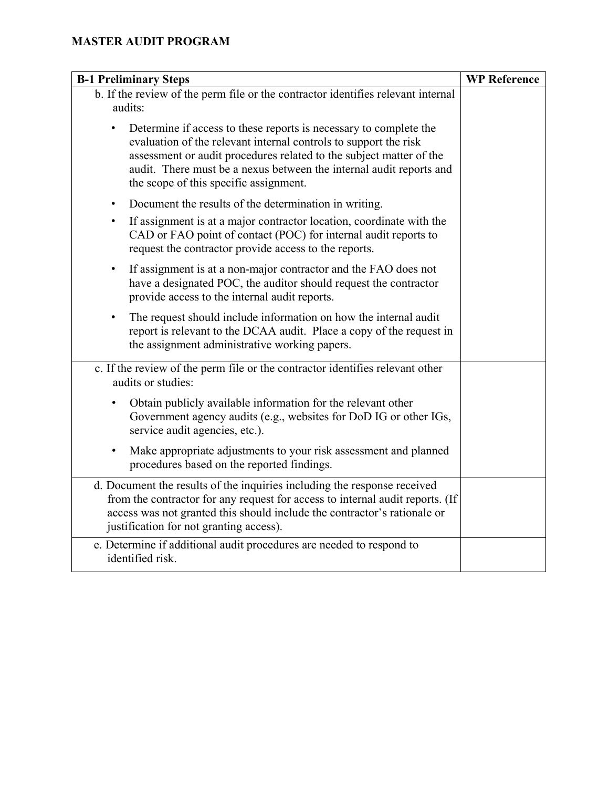| <b>B-1 Preliminary Steps</b>                                                                                                                                                                                                                                                                                                  | <b>WP Reference</b> |
|-------------------------------------------------------------------------------------------------------------------------------------------------------------------------------------------------------------------------------------------------------------------------------------------------------------------------------|---------------------|
| b. If the review of the perm file or the contractor identifies relevant internal<br>audits:                                                                                                                                                                                                                                   |                     |
| Determine if access to these reports is necessary to complete the<br>evaluation of the relevant internal controls to support the risk<br>assessment or audit procedures related to the subject matter of the<br>audit. There must be a nexus between the internal audit reports and<br>the scope of this specific assignment. |                     |
| Document the results of the determination in writing.<br>$\bullet$                                                                                                                                                                                                                                                            |                     |
| If assignment is at a major contractor location, coordinate with the<br>$\bullet$<br>CAD or FAO point of contact (POC) for internal audit reports to<br>request the contractor provide access to the reports.                                                                                                                 |                     |
| If assignment is at a non-major contractor and the FAO does not<br>$\bullet$<br>have a designated POC, the auditor should request the contractor<br>provide access to the internal audit reports.                                                                                                                             |                     |
| The request should include information on how the internal audit<br>$\bullet$<br>report is relevant to the DCAA audit. Place a copy of the request in<br>the assignment administrative working papers.                                                                                                                        |                     |
| c. If the review of the perm file or the contractor identifies relevant other<br>audits or studies:                                                                                                                                                                                                                           |                     |
| Obtain publicly available information for the relevant other<br>Government agency audits (e.g., websites for DoD IG or other IGs,<br>service audit agencies, etc.).                                                                                                                                                           |                     |
| Make appropriate adjustments to your risk assessment and planned<br>$\bullet$<br>procedures based on the reported findings.                                                                                                                                                                                                   |                     |
| d. Document the results of the inquiries including the response received<br>from the contractor for any request for access to internal audit reports. (If<br>access was not granted this should include the contractor's rationale or<br>justification for not granting access).                                              |                     |
| e. Determine if additional audit procedures are needed to respond to<br>identified risk.                                                                                                                                                                                                                                      |                     |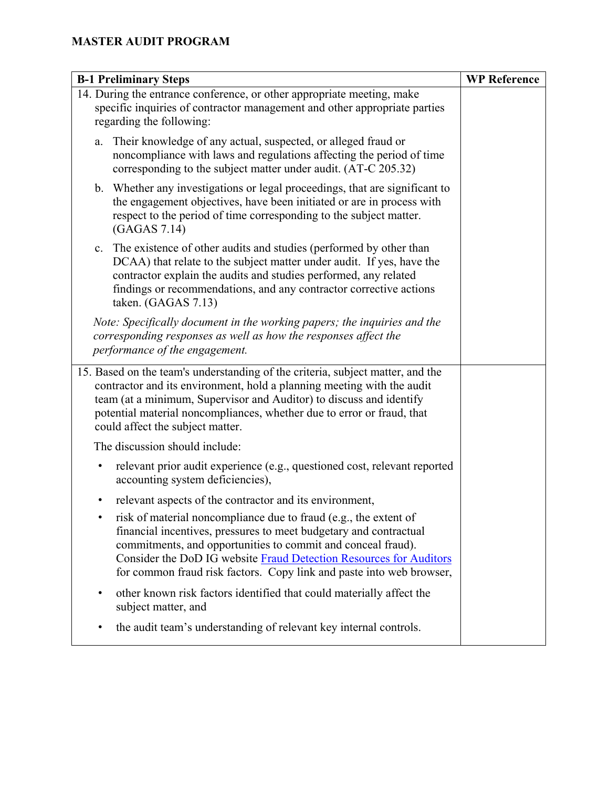| <b>B-1 Preliminary Steps</b>                                                                                                                                                                                                                                                                                                                        | <b>WP</b> Reference |
|-----------------------------------------------------------------------------------------------------------------------------------------------------------------------------------------------------------------------------------------------------------------------------------------------------------------------------------------------------|---------------------|
| 14. During the entrance conference, or other appropriate meeting, make<br>specific inquiries of contractor management and other appropriate parties<br>regarding the following:                                                                                                                                                                     |                     |
| Their knowledge of any actual, suspected, or alleged fraud or<br>a.<br>noncompliance with laws and regulations affecting the period of time<br>corresponding to the subject matter under audit. (AT-C 205.32)                                                                                                                                       |                     |
| b. Whether any investigations or legal proceedings, that are significant to<br>the engagement objectives, have been initiated or are in process with<br>respect to the period of time corresponding to the subject matter.<br>(GAGAS 7.14)                                                                                                          |                     |
| The existence of other audits and studies (performed by other than<br>c.<br>DCAA) that relate to the subject matter under audit. If yes, have the<br>contractor explain the audits and studies performed, any related<br>findings or recommendations, and any contractor corrective actions<br>taken. (GAGAS 7.13)                                  |                     |
| Note: Specifically document in the working papers; the inquiries and the<br>corresponding responses as well as how the responses affect the<br>performance of the engagement.                                                                                                                                                                       |                     |
| 15. Based on the team's understanding of the criteria, subject matter, and the<br>contractor and its environment, hold a planning meeting with the audit<br>team (at a minimum, Supervisor and Auditor) to discuss and identify<br>potential material noncompliances, whether due to error or fraud, that<br>could affect the subject matter.       |                     |
| The discussion should include:                                                                                                                                                                                                                                                                                                                      |                     |
| relevant prior audit experience (e.g., questioned cost, relevant reported<br>$\bullet$<br>accounting system deficiencies),                                                                                                                                                                                                                          |                     |
| relevant aspects of the contractor and its environment,                                                                                                                                                                                                                                                                                             |                     |
| risk of material noncompliance due to fraud (e.g., the extent of<br>financial incentives, pressures to meet budgetary and contractual<br>commitments, and opportunities to commit and conceal fraud).<br>Consider the DoD IG website Fraud Detection Resources for Auditors<br>for common fraud risk factors. Copy link and paste into web browser, |                     |
| other known risk factors identified that could materially affect the<br>٠<br>subject matter, and                                                                                                                                                                                                                                                    |                     |
| the audit team's understanding of relevant key internal controls.                                                                                                                                                                                                                                                                                   |                     |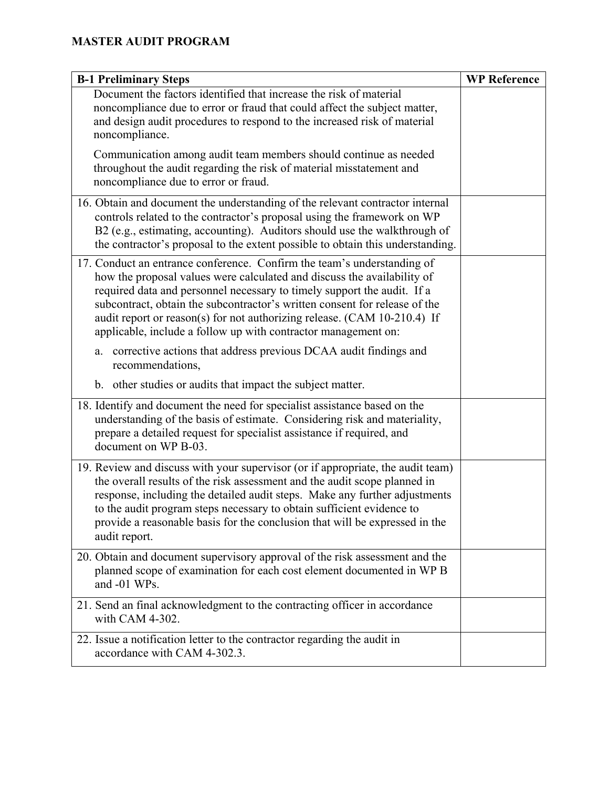| <b>B-1 Preliminary Steps</b>                                                                                                                                                                                                                                                                                                                                                                                                                              | <b>WP Reference</b> |
|-----------------------------------------------------------------------------------------------------------------------------------------------------------------------------------------------------------------------------------------------------------------------------------------------------------------------------------------------------------------------------------------------------------------------------------------------------------|---------------------|
| Document the factors identified that increase the risk of material<br>noncompliance due to error or fraud that could affect the subject matter,<br>and design audit procedures to respond to the increased risk of material<br>noncompliance.                                                                                                                                                                                                             |                     |
| Communication among audit team members should continue as needed<br>throughout the audit regarding the risk of material misstatement and<br>noncompliance due to error or fraud.                                                                                                                                                                                                                                                                          |                     |
| 16. Obtain and document the understanding of the relevant contractor internal<br>controls related to the contractor's proposal using the framework on WP<br>B2 (e.g., estimating, accounting). Auditors should use the walkthrough of<br>the contractor's proposal to the extent possible to obtain this understanding.                                                                                                                                   |                     |
| 17. Conduct an entrance conference. Confirm the team's understanding of<br>how the proposal values were calculated and discuss the availability of<br>required data and personnel necessary to timely support the audit. If a<br>subcontract, obtain the subcontractor's written consent for release of the<br>audit report or reason(s) for not authorizing release. (CAM 10-210.4) If<br>applicable, include a follow up with contractor management on: |                     |
| corrective actions that address previous DCAA audit findings and<br>a.<br>recommendations,                                                                                                                                                                                                                                                                                                                                                                |                     |
| b. other studies or audits that impact the subject matter.                                                                                                                                                                                                                                                                                                                                                                                                |                     |
| 18. Identify and document the need for specialist assistance based on the<br>understanding of the basis of estimate. Considering risk and materiality,<br>prepare a detailed request for specialist assistance if required, and<br>document on WP B-03.                                                                                                                                                                                                   |                     |
| 19. Review and discuss with your supervisor (or if appropriate, the audit team)<br>the overall results of the risk assessment and the audit scope planned in<br>response, including the detailed audit steps. Make any further adjustments<br>to the audit program steps necessary to obtain sufficient evidence to<br>provide a reasonable basis for the conclusion that will be expressed in the<br>audit report.                                       |                     |
| 20. Obtain and document supervisory approval of the risk assessment and the<br>planned scope of examination for each cost element documented in WP B<br>and -01 WPs.                                                                                                                                                                                                                                                                                      |                     |
| 21. Send an final acknowledgment to the contracting officer in accordance<br>with CAM 4-302.                                                                                                                                                                                                                                                                                                                                                              |                     |
| 22. Issue a notification letter to the contractor regarding the audit in<br>accordance with CAM 4-302.3.                                                                                                                                                                                                                                                                                                                                                  |                     |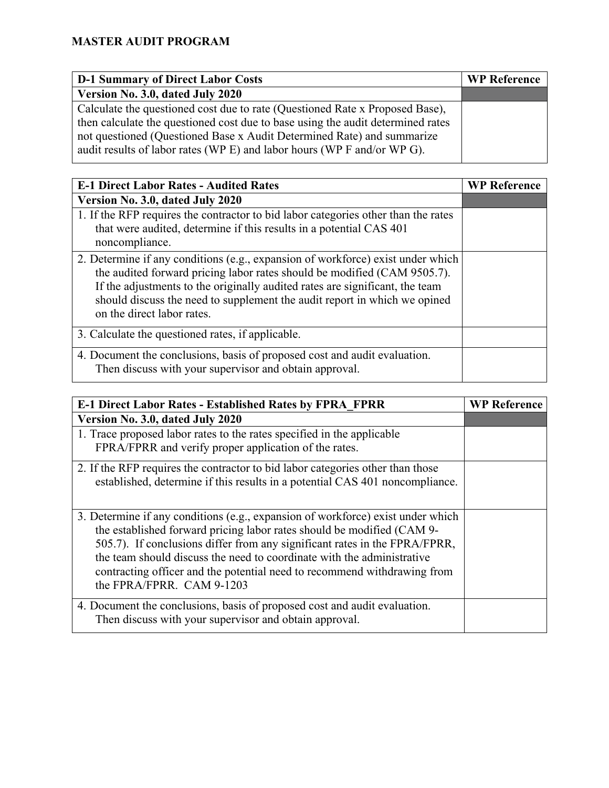| <b>D-1 Summary of Direct Labor Costs</b>                                        | <b>WP Reference</b> |
|---------------------------------------------------------------------------------|---------------------|
| Version No. 3.0, dated July 2020                                                |                     |
| Calculate the questioned cost due to rate (Questioned Rate x Proposed Base),    |                     |
| then calculate the questioned cost due to base using the audit determined rates |                     |
| not questioned (Questioned Base x Audit Determined Rate) and summarize          |                     |
| audit results of labor rates (WP E) and labor hours (WP F and/or WP G).         |                     |

| <b>E-1 Direct Labor Rates - Audited Rates</b>                                                                                                                                                                                                                                                                                                          | <b>WP Reference</b> |
|--------------------------------------------------------------------------------------------------------------------------------------------------------------------------------------------------------------------------------------------------------------------------------------------------------------------------------------------------------|---------------------|
| Version No. 3.0, dated July 2020                                                                                                                                                                                                                                                                                                                       |                     |
| 1. If the RFP requires the contractor to bid labor categories other than the rates<br>that were audited, determine if this results in a potential CAS 401<br>noncompliance.                                                                                                                                                                            |                     |
| 2. Determine if any conditions (e.g., expansion of workforce) exist under which<br>the audited forward pricing labor rates should be modified (CAM 9505.7).<br>If the adjustments to the originally audited rates are significant, the team<br>should discuss the need to supplement the audit report in which we opined<br>on the direct labor rates. |                     |
| 3. Calculate the questioned rates, if applicable.                                                                                                                                                                                                                                                                                                      |                     |
| 4. Document the conclusions, basis of proposed cost and audit evaluation.<br>Then discuss with your supervisor and obtain approval.                                                                                                                                                                                                                    |                     |

| <b>E-1 Direct Labor Rates - Established Rates by FPRA FPRR</b>                  | <b>WP Reference</b> |
|---------------------------------------------------------------------------------|---------------------|
| Version No. 3.0, dated July 2020                                                |                     |
| 1. Trace proposed labor rates to the rates specified in the applicable          |                     |
| FPRA/FPRR and verify proper application of the rates.                           |                     |
| 2. If the RFP requires the contractor to bid labor categories other than those  |                     |
| established, determine if this results in a potential CAS 401 noncompliance.    |                     |
|                                                                                 |                     |
| 3. Determine if any conditions (e.g., expansion of workforce) exist under which |                     |
| the established forward pricing labor rates should be modified (CAM 9-          |                     |
| 505.7). If conclusions differ from any significant rates in the FPRA/FPRR,      |                     |
| the team should discuss the need to coordinate with the administrative          |                     |
| contracting officer and the potential need to recommend withdrawing from        |                     |
| the FPRA/FPRR. CAM 9-1203                                                       |                     |
| 4. Document the conclusions, basis of proposed cost and audit evaluation.       |                     |
| Then discuss with your supervisor and obtain approval.                          |                     |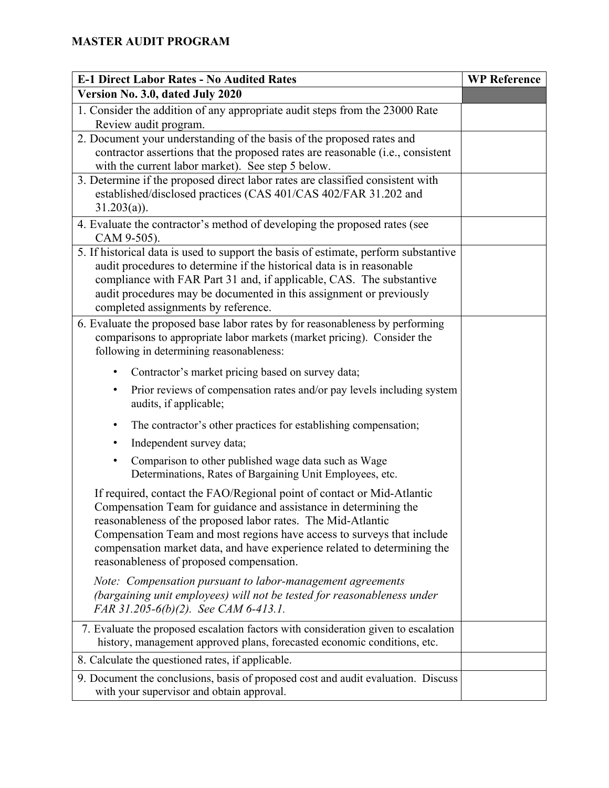| <b>E-1 Direct Labor Rates - No Audited Rates</b>                                                                                                                                                                                                                                                                                                                                                             | <b>WP Reference</b> |
|--------------------------------------------------------------------------------------------------------------------------------------------------------------------------------------------------------------------------------------------------------------------------------------------------------------------------------------------------------------------------------------------------------------|---------------------|
| Version No. 3.0, dated July 2020                                                                                                                                                                                                                                                                                                                                                                             |                     |
| 1. Consider the addition of any appropriate audit steps from the 23000 Rate<br>Review audit program.                                                                                                                                                                                                                                                                                                         |                     |
| 2. Document your understanding of the basis of the proposed rates and<br>contractor assertions that the proposed rates are reasonable (i.e., consistent<br>with the current labor market). See step 5 below.                                                                                                                                                                                                 |                     |
| 3. Determine if the proposed direct labor rates are classified consistent with<br>established/disclosed practices (CAS 401/CAS 402/FAR 31.202 and<br>$31.203(a)$ ).                                                                                                                                                                                                                                          |                     |
| 4. Evaluate the contractor's method of developing the proposed rates (see<br>CAM 9-505).                                                                                                                                                                                                                                                                                                                     |                     |
| 5. If historical data is used to support the basis of estimate, perform substantive<br>audit procedures to determine if the historical data is in reasonable<br>compliance with FAR Part 31 and, if applicable, CAS. The substantive<br>audit procedures may be documented in this assignment or previously<br>completed assignments by reference.                                                           |                     |
| 6. Evaluate the proposed base labor rates by for reasonableness by performing<br>comparisons to appropriate labor markets (market pricing). Consider the<br>following in determining reasonableness:                                                                                                                                                                                                         |                     |
| Contractor's market pricing based on survey data;<br>$\bullet$                                                                                                                                                                                                                                                                                                                                               |                     |
| Prior reviews of compensation rates and/or pay levels including system<br>$\bullet$<br>audits, if applicable;                                                                                                                                                                                                                                                                                                |                     |
| The contractor's other practices for establishing compensation;<br>$\bullet$<br>Independent survey data;<br>٠                                                                                                                                                                                                                                                                                                |                     |
| Comparison to other published wage data such as Wage<br>٠<br>Determinations, Rates of Bargaining Unit Employees, etc.                                                                                                                                                                                                                                                                                        |                     |
| If required, contact the FAO/Regional point of contact or Mid-Atlantic<br>Compensation Team for guidance and assistance in determining the<br>reasonableness of the proposed labor rates. The Mid-Atlantic<br>Compensation Team and most regions have access to surveys that include<br>compensation market data, and have experience related to determining the<br>reasonableness of proposed compensation. |                     |
| Note: Compensation pursuant to labor-management agreements<br>(bargaining unit employees) will not be tested for reasonableness under<br>FAR 31.205-6(b)(2). See CAM 6-413.1.                                                                                                                                                                                                                                |                     |
| 7. Evaluate the proposed escalation factors with consideration given to escalation<br>history, management approved plans, forecasted economic conditions, etc.                                                                                                                                                                                                                                               |                     |
| 8. Calculate the questioned rates, if applicable.                                                                                                                                                                                                                                                                                                                                                            |                     |
| 9. Document the conclusions, basis of proposed cost and audit evaluation. Discuss<br>with your supervisor and obtain approval.                                                                                                                                                                                                                                                                               |                     |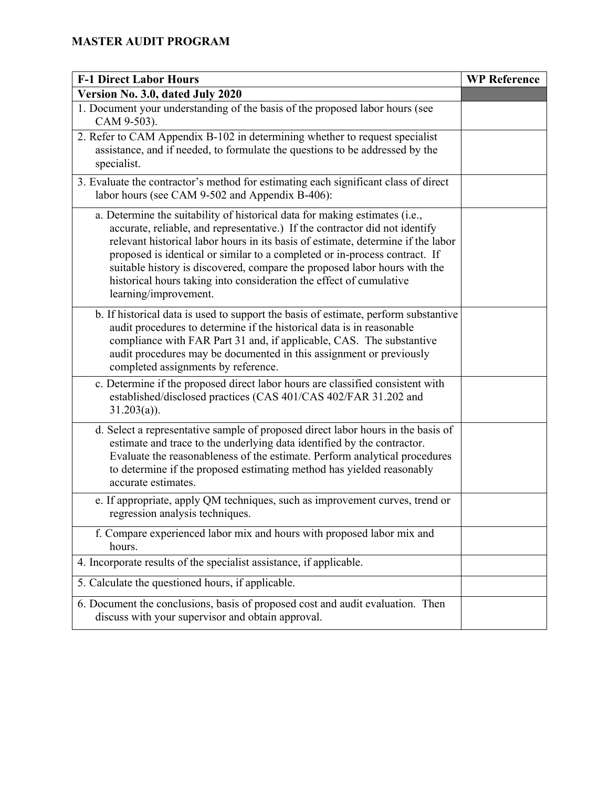| <b>F-1 Direct Labor Hours</b>                                                                                                                                                                                                                                                                                                                                                                                                                                                                             | <b>WP Reference</b> |
|-----------------------------------------------------------------------------------------------------------------------------------------------------------------------------------------------------------------------------------------------------------------------------------------------------------------------------------------------------------------------------------------------------------------------------------------------------------------------------------------------------------|---------------------|
| Version No. 3.0, dated July 2020                                                                                                                                                                                                                                                                                                                                                                                                                                                                          |                     |
| 1. Document your understanding of the basis of the proposed labor hours (see<br>CAM 9-503).                                                                                                                                                                                                                                                                                                                                                                                                               |                     |
| 2. Refer to CAM Appendix B-102 in determining whether to request specialist<br>assistance, and if needed, to formulate the questions to be addressed by the<br>specialist.                                                                                                                                                                                                                                                                                                                                |                     |
| 3. Evaluate the contractor's method for estimating each significant class of direct<br>labor hours (see CAM 9-502 and Appendix B-406):                                                                                                                                                                                                                                                                                                                                                                    |                     |
| a. Determine the suitability of historical data for making estimates (i.e.,<br>accurate, reliable, and representative.) If the contractor did not identify<br>relevant historical labor hours in its basis of estimate, determine if the labor<br>proposed is identical or similar to a completed or in-process contract. If<br>suitable history is discovered, compare the proposed labor hours with the<br>historical hours taking into consideration the effect of cumulative<br>learning/improvement. |                     |
| b. If historical data is used to support the basis of estimate, perform substantive<br>audit procedures to determine if the historical data is in reasonable<br>compliance with FAR Part 31 and, if applicable, CAS. The substantive<br>audit procedures may be documented in this assignment or previously<br>completed assignments by reference.                                                                                                                                                        |                     |
| c. Determine if the proposed direct labor hours are classified consistent with<br>established/disclosed practices (CAS 401/CAS 402/FAR 31.202 and<br>$31.203(a)$ ).                                                                                                                                                                                                                                                                                                                                       |                     |
| d. Select a representative sample of proposed direct labor hours in the basis of<br>estimate and trace to the underlying data identified by the contractor.<br>Evaluate the reasonableness of the estimate. Perform analytical procedures<br>to determine if the proposed estimating method has yielded reasonably<br>accurate estimates.                                                                                                                                                                 |                     |
| e. If appropriate, apply QM techniques, such as improvement curves, trend or<br>regression analysis techniques.                                                                                                                                                                                                                                                                                                                                                                                           |                     |
| f. Compare experienced labor mix and hours with proposed labor mix and<br>hours.                                                                                                                                                                                                                                                                                                                                                                                                                          |                     |
| 4. Incorporate results of the specialist assistance, if applicable.                                                                                                                                                                                                                                                                                                                                                                                                                                       |                     |
| 5. Calculate the questioned hours, if applicable.                                                                                                                                                                                                                                                                                                                                                                                                                                                         |                     |
| 6. Document the conclusions, basis of proposed cost and audit evaluation. Then<br>discuss with your supervisor and obtain approval.                                                                                                                                                                                                                                                                                                                                                                       |                     |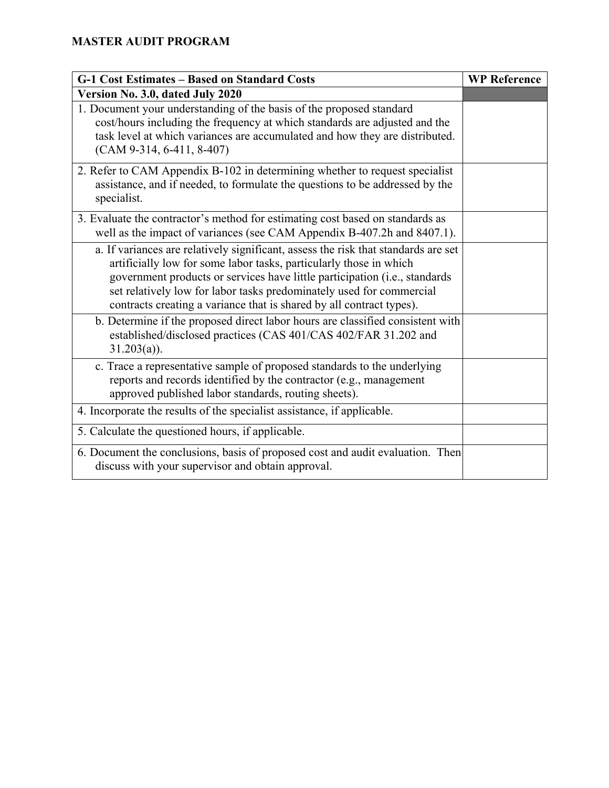| <b>G-1 Cost Estimates - Based on Standard Costs</b>                                                                                                                                                                                                                                                                                                                                    | <b>WP Reference</b> |
|----------------------------------------------------------------------------------------------------------------------------------------------------------------------------------------------------------------------------------------------------------------------------------------------------------------------------------------------------------------------------------------|---------------------|
| Version No. 3.0, dated July 2020                                                                                                                                                                                                                                                                                                                                                       |                     |
| 1. Document your understanding of the basis of the proposed standard<br>cost/hours including the frequency at which standards are adjusted and the<br>task level at which variances are accumulated and how they are distributed.<br>$(CAM 9-314, 6-411, 8-407)$                                                                                                                       |                     |
| 2. Refer to CAM Appendix B-102 in determining whether to request specialist<br>assistance, and if needed, to formulate the questions to be addressed by the<br>specialist.                                                                                                                                                                                                             |                     |
| 3. Evaluate the contractor's method for estimating cost based on standards as<br>well as the impact of variances (see CAM Appendix B-407.2h and 8407.1).                                                                                                                                                                                                                               |                     |
| a. If variances are relatively significant, assess the risk that standards are set<br>artificially low for some labor tasks, particularly those in which<br>government products or services have little participation (i.e., standards<br>set relatively low for labor tasks predominately used for commercial<br>contracts creating a variance that is shared by all contract types). |                     |
| b. Determine if the proposed direct labor hours are classified consistent with<br>established/disclosed practices (CAS 401/CAS 402/FAR 31.202 and<br>$31.203(a)$ ).                                                                                                                                                                                                                    |                     |
| c. Trace a representative sample of proposed standards to the underlying<br>reports and records identified by the contractor (e.g., management<br>approved published labor standards, routing sheets).                                                                                                                                                                                 |                     |
| 4. Incorporate the results of the specialist assistance, if applicable.                                                                                                                                                                                                                                                                                                                |                     |
| 5. Calculate the questioned hours, if applicable.                                                                                                                                                                                                                                                                                                                                      |                     |
| 6. Document the conclusions, basis of proposed cost and audit evaluation. Then<br>discuss with your supervisor and obtain approval.                                                                                                                                                                                                                                                    |                     |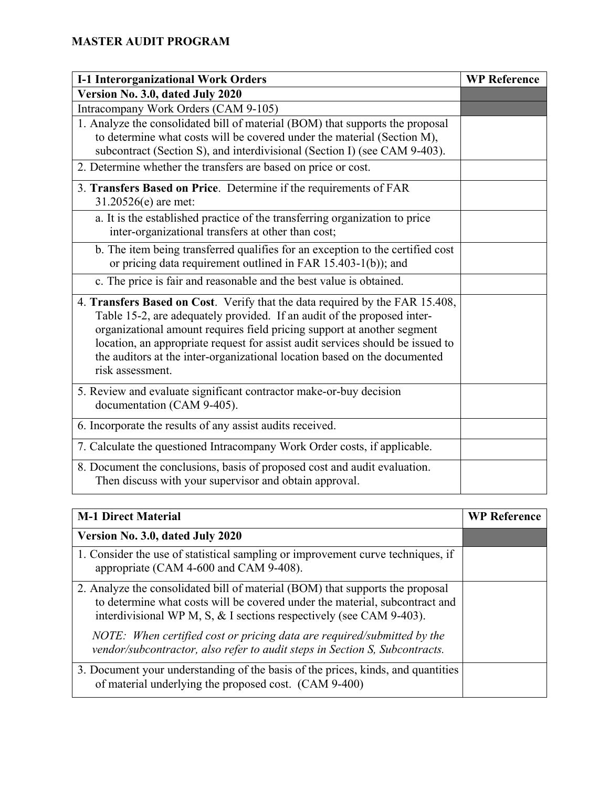| <b>I-1 Interorganizational Work Orders</b>                                                                                                                                                                                                                                                                                                                                                                            | <b>WP Reference</b> |
|-----------------------------------------------------------------------------------------------------------------------------------------------------------------------------------------------------------------------------------------------------------------------------------------------------------------------------------------------------------------------------------------------------------------------|---------------------|
| Version No. 3.0, dated July 2020                                                                                                                                                                                                                                                                                                                                                                                      |                     |
| Intracompany Work Orders (CAM 9-105)                                                                                                                                                                                                                                                                                                                                                                                  |                     |
| 1. Analyze the consolidated bill of material (BOM) that supports the proposal<br>to determine what costs will be covered under the material (Section M),<br>subcontract (Section S), and interdivisional (Section I) (see CAM 9-403).                                                                                                                                                                                 |                     |
| 2. Determine whether the transfers are based on price or cost.                                                                                                                                                                                                                                                                                                                                                        |                     |
| 3. Transfers Based on Price. Determine if the requirements of FAR<br>31.20526(e) are met:                                                                                                                                                                                                                                                                                                                             |                     |
| a. It is the established practice of the transferring organization to price<br>inter-organizational transfers at other than cost;                                                                                                                                                                                                                                                                                     |                     |
| b. The item being transferred qualifies for an exception to the certified cost<br>or pricing data requirement outlined in FAR 15.403-1(b)); and                                                                                                                                                                                                                                                                       |                     |
| c. The price is fair and reasonable and the best value is obtained.                                                                                                                                                                                                                                                                                                                                                   |                     |
| 4. Transfers Based on Cost. Verify that the data required by the FAR 15.408,<br>Table 15-2, are adequately provided. If an audit of the proposed inter-<br>organizational amount requires field pricing support at another segment<br>location, an appropriate request for assist audit services should be issued to<br>the auditors at the inter-organizational location based on the documented<br>risk assessment. |                     |
| 5. Review and evaluate significant contractor make-or-buy decision<br>documentation (CAM 9-405).                                                                                                                                                                                                                                                                                                                      |                     |
| 6. Incorporate the results of any assist audits received.                                                                                                                                                                                                                                                                                                                                                             |                     |
| 7. Calculate the questioned Intracompany Work Order costs, if applicable.                                                                                                                                                                                                                                                                                                                                             |                     |
| 8. Document the conclusions, basis of proposed cost and audit evaluation.<br>Then discuss with your supervisor and obtain approval.                                                                                                                                                                                                                                                                                   |                     |

| <b>M-1 Direct Material</b>                                                                                                                                                                                                             | <b>WP</b> Reference |
|----------------------------------------------------------------------------------------------------------------------------------------------------------------------------------------------------------------------------------------|---------------------|
| Version No. 3.0, dated July 2020                                                                                                                                                                                                       |                     |
| 1. Consider the use of statistical sampling or improvement curve techniques, if<br>appropriate (CAM 4-600 and CAM 9-408).                                                                                                              |                     |
| 2. Analyze the consolidated bill of material (BOM) that supports the proposal<br>to determine what costs will be covered under the material, subcontract and<br>interdivisional WP M, S, $\&$ I sections respectively (see CAM 9-403). |                     |
| NOTE: When certified cost or pricing data are required/submitted by the<br>vendor/subcontractor, also refer to audit steps in Section S, Subcontracts.                                                                                 |                     |
| 3. Document your understanding of the basis of the prices, kinds, and quantities<br>of material underlying the proposed cost. (CAM 9-400)                                                                                              |                     |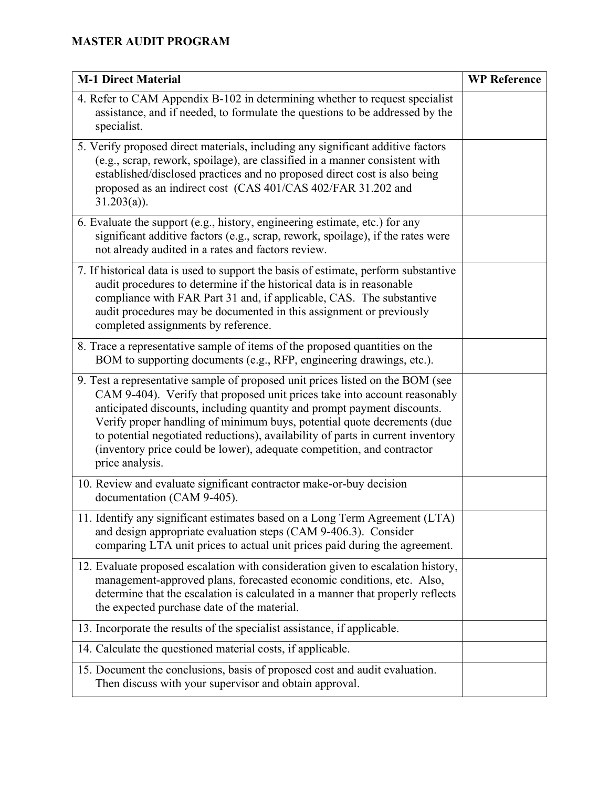| <b>M-1 Direct Material</b>                                                                                                                                                                                                                                                                                                                                                                                                                                                                        | <b>WP Reference</b> |
|---------------------------------------------------------------------------------------------------------------------------------------------------------------------------------------------------------------------------------------------------------------------------------------------------------------------------------------------------------------------------------------------------------------------------------------------------------------------------------------------------|---------------------|
| 4. Refer to CAM Appendix B-102 in determining whether to request specialist<br>assistance, and if needed, to formulate the questions to be addressed by the<br>specialist.                                                                                                                                                                                                                                                                                                                        |                     |
| 5. Verify proposed direct materials, including any significant additive factors<br>(e.g., scrap, rework, spoilage), are classified in a manner consistent with<br>established/disclosed practices and no proposed direct cost is also being<br>proposed as an indirect cost (CAS 401/CAS 402/FAR 31.202 and<br>$31.203(a)$ ).                                                                                                                                                                     |                     |
| 6. Evaluate the support (e.g., history, engineering estimate, etc.) for any<br>significant additive factors (e.g., scrap, rework, spoilage), if the rates were<br>not already audited in a rates and factors review.                                                                                                                                                                                                                                                                              |                     |
| 7. If historical data is used to support the basis of estimate, perform substantive<br>audit procedures to determine if the historical data is in reasonable<br>compliance with FAR Part 31 and, if applicable, CAS. The substantive<br>audit procedures may be documented in this assignment or previously<br>completed assignments by reference.                                                                                                                                                |                     |
| 8. Trace a representative sample of items of the proposed quantities on the<br>BOM to supporting documents (e.g., RFP, engineering drawings, etc.).                                                                                                                                                                                                                                                                                                                                               |                     |
| 9. Test a representative sample of proposed unit prices listed on the BOM (see<br>CAM 9-404). Verify that proposed unit prices take into account reasonably<br>anticipated discounts, including quantity and prompt payment discounts.<br>Verify proper handling of minimum buys, potential quote decrements (due<br>to potential negotiated reductions), availability of parts in current inventory<br>(inventory price could be lower), adequate competition, and contractor<br>price analysis. |                     |
| 10. Review and evaluate significant contractor make-or-buy decision<br>documentation (CAM 9-405).                                                                                                                                                                                                                                                                                                                                                                                                 |                     |
| 11. Identify any significant estimates based on a Long Term Agreement (LTA)<br>and design appropriate evaluation steps (CAM 9-406.3). Consider<br>comparing LTA unit prices to actual unit prices paid during the agreement.                                                                                                                                                                                                                                                                      |                     |
| 12. Evaluate proposed escalation with consideration given to escalation history,<br>management-approved plans, forecasted economic conditions, etc. Also,<br>determine that the escalation is calculated in a manner that properly reflects<br>the expected purchase date of the material.                                                                                                                                                                                                        |                     |
| 13. Incorporate the results of the specialist assistance, if applicable.                                                                                                                                                                                                                                                                                                                                                                                                                          |                     |
| 14. Calculate the questioned material costs, if applicable.                                                                                                                                                                                                                                                                                                                                                                                                                                       |                     |
| 15. Document the conclusions, basis of proposed cost and audit evaluation.<br>Then discuss with your supervisor and obtain approval.                                                                                                                                                                                                                                                                                                                                                              |                     |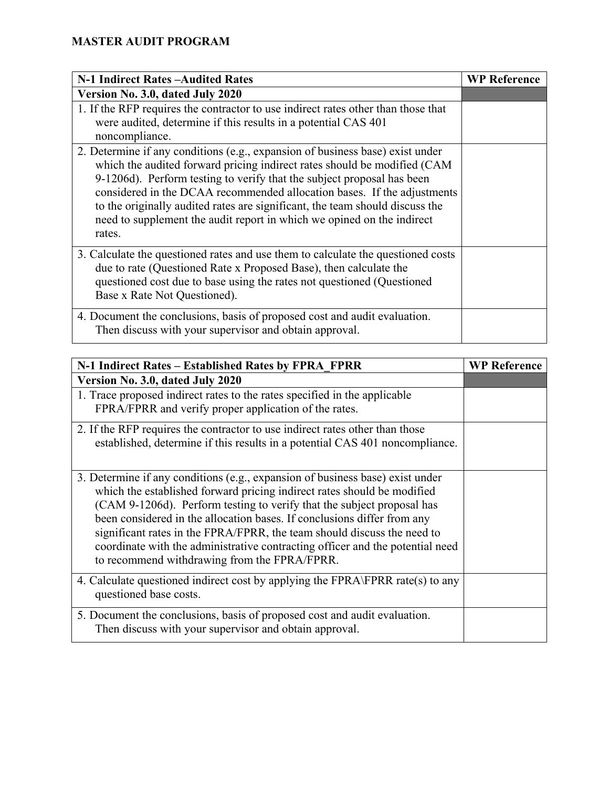| N-1 Indirect Rates - Audited Rates                                                                                                                                                                                                                                                                                                                                                                                                                                                 | <b>WP Reference</b> |
|------------------------------------------------------------------------------------------------------------------------------------------------------------------------------------------------------------------------------------------------------------------------------------------------------------------------------------------------------------------------------------------------------------------------------------------------------------------------------------|---------------------|
| Version No. 3.0, dated July 2020                                                                                                                                                                                                                                                                                                                                                                                                                                                   |                     |
| 1. If the RFP requires the contractor to use indirect rates other than those that<br>were audited, determine if this results in a potential CAS 401<br>noncompliance.                                                                                                                                                                                                                                                                                                              |                     |
| 2. Determine if any conditions (e.g., expansion of business base) exist under<br>which the audited forward pricing indirect rates should be modified (CAM<br>9-1206d). Perform testing to verify that the subject proposal has been<br>considered in the DCAA recommended allocation bases. If the adjustments<br>to the originally audited rates are significant, the team should discuss the<br>need to supplement the audit report in which we opined on the indirect<br>rates. |                     |
| 3. Calculate the questioned rates and use them to calculate the questioned costs<br>due to rate (Questioned Rate x Proposed Base), then calculate the<br>questioned cost due to base using the rates not questioned (Questioned<br>Base x Rate Not Questioned).                                                                                                                                                                                                                    |                     |
| 4. Document the conclusions, basis of proposed cost and audit evaluation.<br>Then discuss with your supervisor and obtain approval.                                                                                                                                                                                                                                                                                                                                                |                     |

| N-1 Indirect Rates – Established Rates by FPRA FPRR                                                                                                                                                                                                                                                                                                                                                                                                                                                                       | <b>WP Reference</b> |
|---------------------------------------------------------------------------------------------------------------------------------------------------------------------------------------------------------------------------------------------------------------------------------------------------------------------------------------------------------------------------------------------------------------------------------------------------------------------------------------------------------------------------|---------------------|
| Version No. 3.0, dated July 2020                                                                                                                                                                                                                                                                                                                                                                                                                                                                                          |                     |
| 1. Trace proposed indirect rates to the rates specified in the applicable<br>FPRA/FPRR and verify proper application of the rates.                                                                                                                                                                                                                                                                                                                                                                                        |                     |
| 2. If the RFP requires the contractor to use indirect rates other than those<br>established, determine if this results in a potential CAS 401 noncompliance.                                                                                                                                                                                                                                                                                                                                                              |                     |
| 3. Determine if any conditions (e.g., expansion of business base) exist under<br>which the established forward pricing indirect rates should be modified<br>(CAM 9-1206d). Perform testing to verify that the subject proposal has<br>been considered in the allocation bases. If conclusions differ from any<br>significant rates in the FPRA/FPRR, the team should discuss the need to<br>coordinate with the administrative contracting officer and the potential need<br>to recommend withdrawing from the FPRA/FPRR. |                     |
| 4. Calculate questioned indirect cost by applying the FPRA\FPRR rate(s) to any<br>questioned base costs.                                                                                                                                                                                                                                                                                                                                                                                                                  |                     |
| 5. Document the conclusions, basis of proposed cost and audit evaluation.<br>Then discuss with your supervisor and obtain approval.                                                                                                                                                                                                                                                                                                                                                                                       |                     |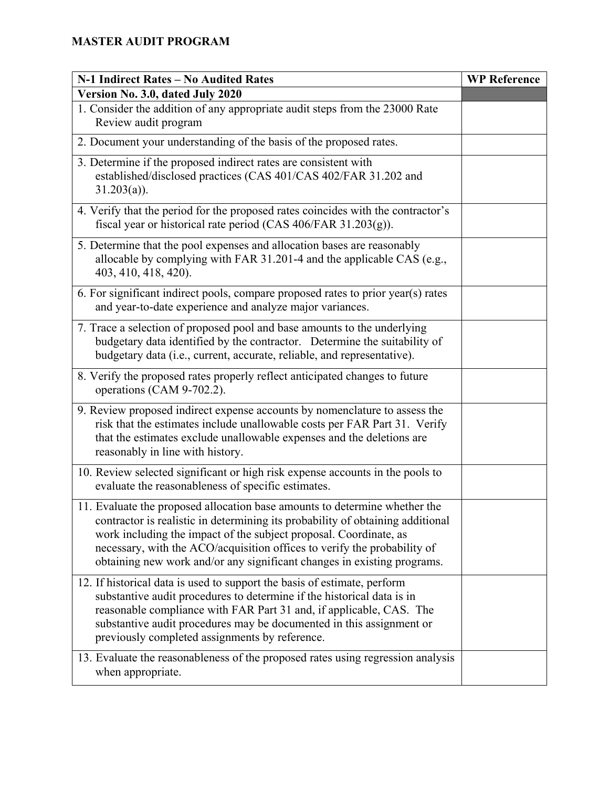| N-1 Indirect Rates - No Audited Rates                                                                                                                                                                                                                                                                                                                                                    | <b>WP Reference</b> |
|------------------------------------------------------------------------------------------------------------------------------------------------------------------------------------------------------------------------------------------------------------------------------------------------------------------------------------------------------------------------------------------|---------------------|
| Version No. 3.0, dated July 2020                                                                                                                                                                                                                                                                                                                                                         |                     |
| 1. Consider the addition of any appropriate audit steps from the 23000 Rate<br>Review audit program                                                                                                                                                                                                                                                                                      |                     |
| 2. Document your understanding of the basis of the proposed rates.                                                                                                                                                                                                                                                                                                                       |                     |
| 3. Determine if the proposed indirect rates are consistent with<br>established/disclosed practices (CAS 401/CAS 402/FAR 31.202 and<br>$31.203(a)$ ).                                                                                                                                                                                                                                     |                     |
| 4. Verify that the period for the proposed rates coincides with the contractor's<br>fiscal year or historical rate period (CAS 406/FAR 31.203(g)).                                                                                                                                                                                                                                       |                     |
| 5. Determine that the pool expenses and allocation bases are reasonably<br>allocable by complying with FAR 31.201-4 and the applicable CAS (e.g.,<br>403, 410, 418, 420).                                                                                                                                                                                                                |                     |
| 6. For significant indirect pools, compare proposed rates to prior year(s) rates<br>and year-to-date experience and analyze major variances.                                                                                                                                                                                                                                             |                     |
| 7. Trace a selection of proposed pool and base amounts to the underlying<br>budgetary data identified by the contractor. Determine the suitability of<br>budgetary data (i.e., current, accurate, reliable, and representative).                                                                                                                                                         |                     |
| 8. Verify the proposed rates properly reflect anticipated changes to future<br>operations (CAM 9-702.2).                                                                                                                                                                                                                                                                                 |                     |
| 9. Review proposed indirect expense accounts by nomenclature to assess the<br>risk that the estimates include unallowable costs per FAR Part 31. Verify<br>that the estimates exclude unallowable expenses and the deletions are<br>reasonably in line with history.                                                                                                                     |                     |
| 10. Review selected significant or high risk expense accounts in the pools to<br>evaluate the reasonableness of specific estimates.                                                                                                                                                                                                                                                      |                     |
| 11. Evaluate the proposed allocation base amounts to determine whether the<br>contractor is realistic in determining its probability of obtaining additional<br>work including the impact of the subject proposal. Coordinate, as<br>necessary, with the ACO/acquisition offices to verify the probability of<br>obtaining new work and/or any significant changes in existing programs. |                     |
| 12. If historical data is used to support the basis of estimate, perform<br>substantive audit procedures to determine if the historical data is in<br>reasonable compliance with FAR Part 31 and, if applicable, CAS. The<br>substantive audit procedures may be documented in this assignment or<br>previously completed assignments by reference.                                      |                     |
| 13. Evaluate the reasonableness of the proposed rates using regression analysis<br>when appropriate.                                                                                                                                                                                                                                                                                     |                     |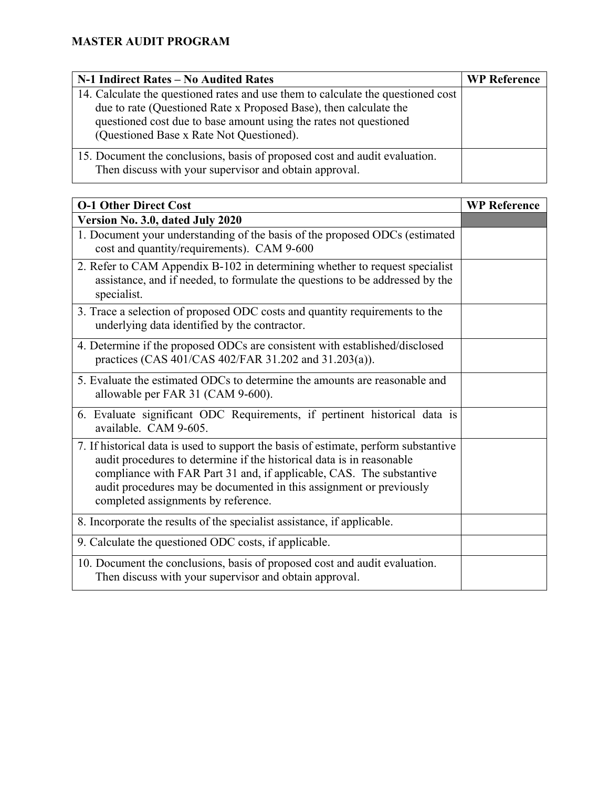| N-1 Indirect Rates – No Audited Rates                                                                                                                                                                                                                                  | <b>WP Reference</b> |
|------------------------------------------------------------------------------------------------------------------------------------------------------------------------------------------------------------------------------------------------------------------------|---------------------|
| 14. Calculate the questioned rates and use them to calculate the questioned cost<br>due to rate (Questioned Rate x Proposed Base), then calculate the<br>questioned cost due to base amount using the rates not questioned<br>(Questioned Base x Rate Not Questioned). |                     |
| 15. Document the conclusions, basis of proposed cost and audit evaluation.<br>Then discuss with your supervisor and obtain approval.                                                                                                                                   |                     |

| <b>O-1 Other Direct Cost</b>                                                                                                                                                                                                                                                                                                                       | <b>WP Reference</b> |
|----------------------------------------------------------------------------------------------------------------------------------------------------------------------------------------------------------------------------------------------------------------------------------------------------------------------------------------------------|---------------------|
| Version No. 3.0, dated July 2020                                                                                                                                                                                                                                                                                                                   |                     |
| 1. Document your understanding of the basis of the proposed ODCs (estimated<br>cost and quantity/requirements). CAM 9-600                                                                                                                                                                                                                          |                     |
| 2. Refer to CAM Appendix B-102 in determining whether to request specialist<br>assistance, and if needed, to formulate the questions to be addressed by the<br>specialist.                                                                                                                                                                         |                     |
| 3. Trace a selection of proposed ODC costs and quantity requirements to the<br>underlying data identified by the contractor.                                                                                                                                                                                                                       |                     |
| 4. Determine if the proposed ODCs are consistent with established/disclosed<br>practices (CAS 401/CAS 402/FAR 31.202 and 31.203(a)).                                                                                                                                                                                                               |                     |
| 5. Evaluate the estimated ODCs to determine the amounts are reasonable and<br>allowable per FAR 31 (CAM 9-600).                                                                                                                                                                                                                                    |                     |
| 6. Evaluate significant ODC Requirements, if pertinent historical data is<br>available. CAM 9-605.                                                                                                                                                                                                                                                 |                     |
| 7. If historical data is used to support the basis of estimate, perform substantive<br>audit procedures to determine if the historical data is in reasonable<br>compliance with FAR Part 31 and, if applicable, CAS. The substantive<br>audit procedures may be documented in this assignment or previously<br>completed assignments by reference. |                     |
| 8. Incorporate the results of the specialist assistance, if applicable.                                                                                                                                                                                                                                                                            |                     |
| 9. Calculate the questioned ODC costs, if applicable.                                                                                                                                                                                                                                                                                              |                     |
| 10. Document the conclusions, basis of proposed cost and audit evaluation.<br>Then discuss with your supervisor and obtain approval.                                                                                                                                                                                                               |                     |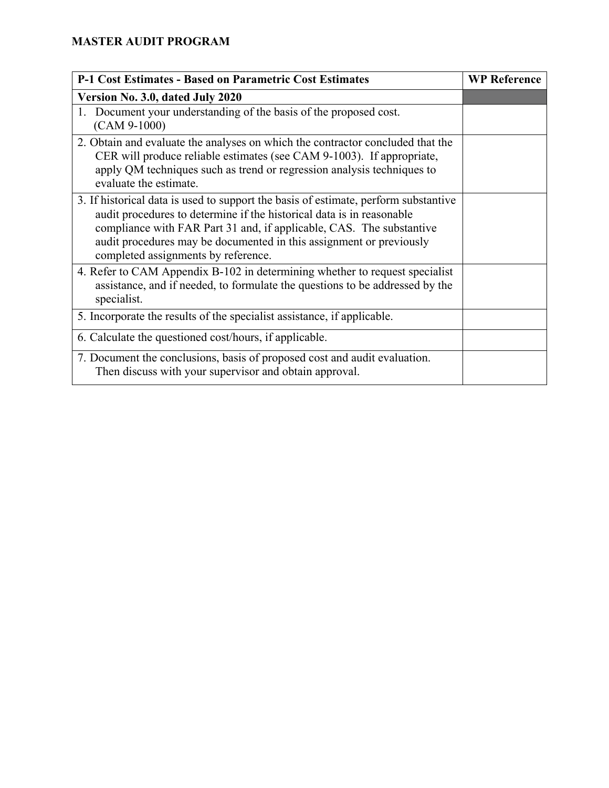| <b>P-1 Cost Estimates - Based on Parametric Cost Estimates</b>                                                                                                                                                                                                                                                                                     | <b>WP Reference</b> |
|----------------------------------------------------------------------------------------------------------------------------------------------------------------------------------------------------------------------------------------------------------------------------------------------------------------------------------------------------|---------------------|
| Version No. 3.0, dated July 2020                                                                                                                                                                                                                                                                                                                   |                     |
| 1. Document your understanding of the basis of the proposed cost.<br>$(CAM 9-1000)$                                                                                                                                                                                                                                                                |                     |
| 2. Obtain and evaluate the analyses on which the contractor concluded that the<br>CER will produce reliable estimates (see CAM 9-1003). If appropriate,<br>apply QM techniques such as trend or regression analysis techniques to<br>evaluate the estimate.                                                                                        |                     |
| 3. If historical data is used to support the basis of estimate, perform substantive<br>audit procedures to determine if the historical data is in reasonable<br>compliance with FAR Part 31 and, if applicable, CAS. The substantive<br>audit procedures may be documented in this assignment or previously<br>completed assignments by reference. |                     |
| 4. Refer to CAM Appendix B-102 in determining whether to request specialist<br>assistance, and if needed, to formulate the questions to be addressed by the<br>specialist.                                                                                                                                                                         |                     |
| 5. Incorporate the results of the specialist assistance, if applicable.                                                                                                                                                                                                                                                                            |                     |
| 6. Calculate the questioned cost/hours, if applicable.                                                                                                                                                                                                                                                                                             |                     |
| 7. Document the conclusions, basis of proposed cost and audit evaluation.<br>Then discuss with your supervisor and obtain approval.                                                                                                                                                                                                                |                     |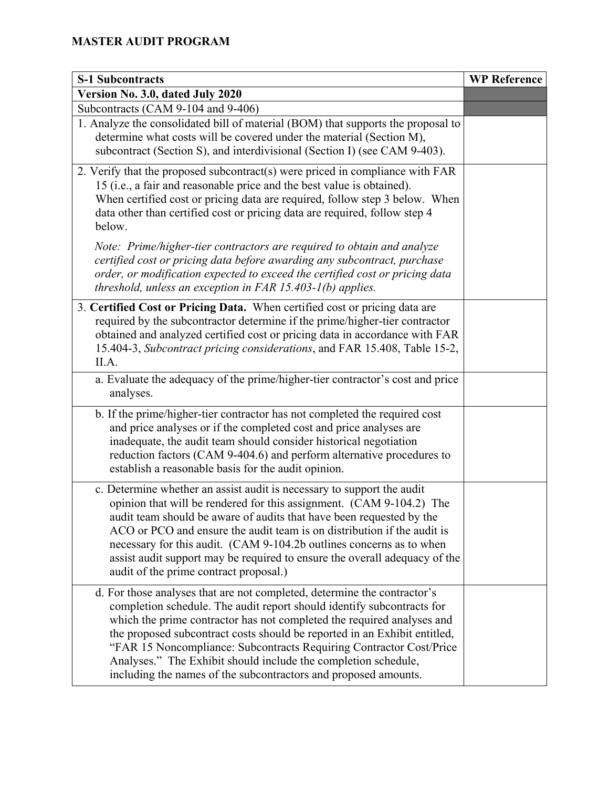| <b>S-1 Subcontracts</b>                                                                                                                                                                                                                                                                                                                                                                                                                                                                                               | <b>WP Reference</b> |
|-----------------------------------------------------------------------------------------------------------------------------------------------------------------------------------------------------------------------------------------------------------------------------------------------------------------------------------------------------------------------------------------------------------------------------------------------------------------------------------------------------------------------|---------------------|
| Version No. 3.0, dated July 2020                                                                                                                                                                                                                                                                                                                                                                                                                                                                                      |                     |
| Subcontracts (CAM 9-104 and 9-406)                                                                                                                                                                                                                                                                                                                                                                                                                                                                                    |                     |
| 1. Analyze the consolidated bill of material (BOM) that supports the proposal to<br>determine what costs will be covered under the material (Section M),<br>subcontract (Section S), and interdivisional (Section I) (see CAM 9-403).                                                                                                                                                                                                                                                                                 |                     |
| 2. Verify that the proposed subcontract(s) were priced in compliance with FAR<br>15 (i.e., a fair and reasonable price and the best value is obtained).<br>When certified cost or pricing data are required, follow step 3 below. When<br>data other than certified cost or pricing data are required, follow step 4<br>below.                                                                                                                                                                                        |                     |
| Note: Prime/higher-tier contractors are required to obtain and analyze<br>certified cost or pricing data before awarding any subcontract, purchase<br>order, or modification expected to exceed the certified cost or pricing data<br>threshold, unless an exception in $FAR$ 15.403-1(b) applies.                                                                                                                                                                                                                    |                     |
| 3. Certified Cost or Pricing Data. When certified cost or pricing data are<br>required by the subcontractor determine if the prime/higher-tier contractor<br>obtained and analyzed certified cost or pricing data in accordance with FAR<br>15.404-3, Subcontract pricing considerations, and FAR 15.408, Table 15-2,<br>II.A.                                                                                                                                                                                        |                     |
| a. Evaluate the adequacy of the prime/higher-tier contractor's cost and price<br>analyses.                                                                                                                                                                                                                                                                                                                                                                                                                            |                     |
| b. If the prime/higher-tier contractor has not completed the required cost<br>and price analyses or if the completed cost and price analyses are<br>inadequate, the audit team should consider historical negotiation<br>reduction factors (CAM 9-404.6) and perform alternative procedures to<br>establish a reasonable basis for the audit opinion.                                                                                                                                                                 |                     |
| c. Determine whether an assist audit is necessary to support the audit<br>opinion that will be rendered for this assignment. (CAM 9-104.2) The<br>audit team should be aware of audits that have been requested by the<br>ACO or PCO and ensure the audit team is on distribution if the audit is<br>necessary for this audit. (CAM 9-104.2b outlines concerns as to when<br>assist audit support may be required to ensure the overall adequacy of the<br>audit of the prime contract proposal.)                     |                     |
| d. For those analyses that are not completed, determine the contractor's<br>completion schedule. The audit report should identify subcontracts for<br>which the prime contractor has not completed the required analyses and<br>the proposed subcontract costs should be reported in an Exhibit entitled,<br>"FAR 15 Noncompliance: Subcontracts Requiring Contractor Cost/Price<br>Analyses." The Exhibit should include the completion schedule,<br>including the names of the subcontractors and proposed amounts. |                     |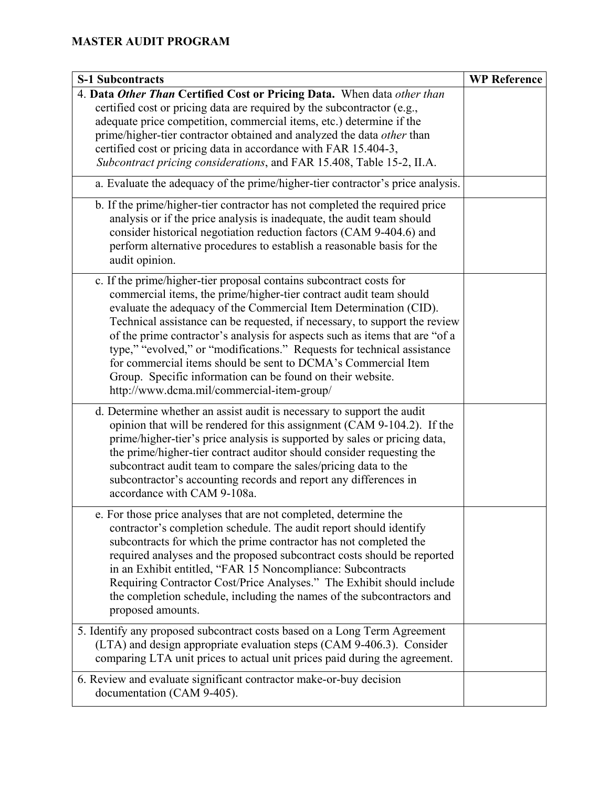| <b>S-1 Subcontracts</b>                                                                                                                                                                                                                                                                                                                                                                                                                                                                                                                                                                                                                                                                     | <b>WP Reference</b> |
|---------------------------------------------------------------------------------------------------------------------------------------------------------------------------------------------------------------------------------------------------------------------------------------------------------------------------------------------------------------------------------------------------------------------------------------------------------------------------------------------------------------------------------------------------------------------------------------------------------------------------------------------------------------------------------------------|---------------------|
| 4. Data Other Than Certified Cost or Pricing Data. When data other than<br>certified cost or pricing data are required by the subcontractor (e.g.,<br>adequate price competition, commercial items, etc.) determine if the<br>prime/higher-tier contractor obtained and analyzed the data other than<br>certified cost or pricing data in accordance with FAR 15.404-3,<br>Subcontract pricing considerations, and FAR 15.408, Table 15-2, II.A.<br>a. Evaluate the adequacy of the prime/higher-tier contractor's price analysis.<br>b. If the prime/higher-tier contractor has not completed the required price<br>analysis or if the price analysis is inadequate, the audit team should |                     |
| consider historical negotiation reduction factors (CAM 9-404.6) and<br>perform alternative procedures to establish a reasonable basis for the<br>audit opinion.                                                                                                                                                                                                                                                                                                                                                                                                                                                                                                                             |                     |
| c. If the prime/higher-tier proposal contains subcontract costs for<br>commercial items, the prime/higher-tier contract audit team should<br>evaluate the adequacy of the Commercial Item Determination (CID).<br>Technical assistance can be requested, if necessary, to support the review<br>of the prime contractor's analysis for aspects such as items that are "of a<br>type," "evolved," or "modifications." Requests for technical assistance<br>for commercial items should be sent to DCMA's Commercial Item<br>Group. Specific information can be found on their website.<br>http://www.dcma.mil/commercial-item-group/                                                         |                     |
| d. Determine whether an assist audit is necessary to support the audit<br>opinion that will be rendered for this assignment (CAM 9-104.2). If the<br>prime/higher-tier's price analysis is supported by sales or pricing data,<br>the prime/higher-tier contract auditor should consider requesting the<br>subcontract audit team to compare the sales/pricing data to the<br>subcontractor's accounting records and report any differences in<br>accordance with CAM 9-108a.                                                                                                                                                                                                               |                     |
| e. For those price analyses that are not completed, determine the<br>contractor's completion schedule. The audit report should identify<br>subcontracts for which the prime contractor has not completed the<br>required analyses and the proposed subcontract costs should be reported<br>in an Exhibit entitled, "FAR 15 Noncompliance: Subcontracts<br>Requiring Contractor Cost/Price Analyses." The Exhibit should include<br>the completion schedule, including the names of the subcontractors and<br>proposed amounts.                                                                                                                                                              |                     |
| 5. Identify any proposed subcontract costs based on a Long Term Agreement<br>(LTA) and design appropriate evaluation steps (CAM 9-406.3). Consider<br>comparing LTA unit prices to actual unit prices paid during the agreement.                                                                                                                                                                                                                                                                                                                                                                                                                                                            |                     |
| 6. Review and evaluate significant contractor make-or-buy decision<br>documentation (CAM 9-405).                                                                                                                                                                                                                                                                                                                                                                                                                                                                                                                                                                                            |                     |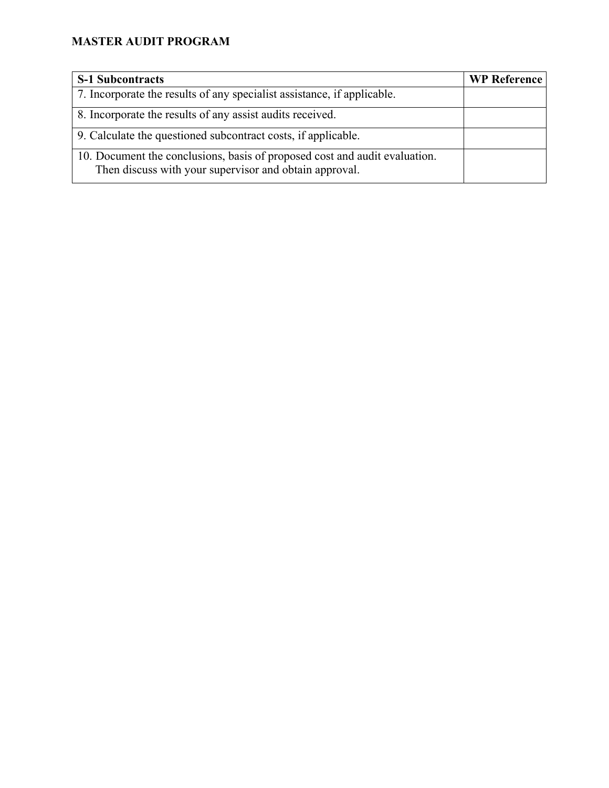| <b>S-1 Subcontracts</b>                                                                                                              | <b>WP Reference</b> |
|--------------------------------------------------------------------------------------------------------------------------------------|---------------------|
| 7. Incorporate the results of any specialist assistance, if applicable.                                                              |                     |
| 8. Incorporate the results of any assist audits received.                                                                            |                     |
| 9. Calculate the questioned subcontract costs, if applicable.                                                                        |                     |
| 10. Document the conclusions, basis of proposed cost and audit evaluation.<br>Then discuss with your supervisor and obtain approval. |                     |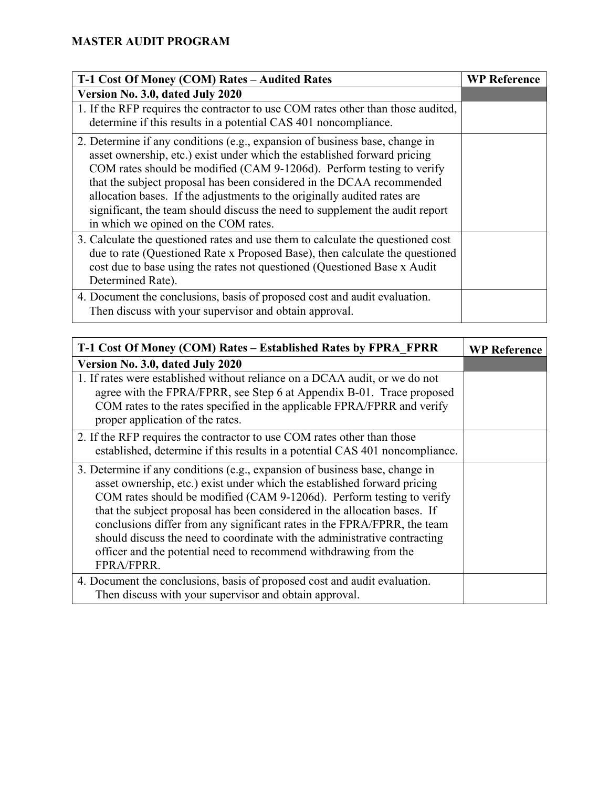| T-1 Cost Of Money (COM) Rates - Audited Rates                                                                                                                                                                                                                                                                                                                                                                                                                                                                 | <b>WP Reference</b> |
|---------------------------------------------------------------------------------------------------------------------------------------------------------------------------------------------------------------------------------------------------------------------------------------------------------------------------------------------------------------------------------------------------------------------------------------------------------------------------------------------------------------|---------------------|
| Version No. 3.0, dated July 2020                                                                                                                                                                                                                                                                                                                                                                                                                                                                              |                     |
| 1. If the RFP requires the contractor to use COM rates other than those audited,<br>determine if this results in a potential CAS 401 noncompliance.                                                                                                                                                                                                                                                                                                                                                           |                     |
| 2. Determine if any conditions (e.g., expansion of business base, change in<br>asset ownership, etc.) exist under which the established forward pricing<br>COM rates should be modified (CAM 9-1206d). Perform testing to verify<br>that the subject proposal has been considered in the DCAA recommended<br>allocation bases. If the adjustments to the originally audited rates are<br>significant, the team should discuss the need to supplement the audit report<br>in which we opined on the COM rates. |                     |
| 3. Calculate the questioned rates and use them to calculate the questioned cost<br>due to rate (Questioned Rate x Proposed Base), then calculate the questioned<br>cost due to base using the rates not questioned (Questioned Base x Audit<br>Determined Rate).                                                                                                                                                                                                                                              |                     |
| 4. Document the conclusions, basis of proposed cost and audit evaluation.<br>Then discuss with your supervisor and obtain approval.                                                                                                                                                                                                                                                                                                                                                                           |                     |

| T-1 Cost Of Money (COM) Rates - Established Rates by FPRA FPRR                                                                                                                                                                                                                                                                                                                                                                                                                                                                                           | <b>WP Reference</b> |
|----------------------------------------------------------------------------------------------------------------------------------------------------------------------------------------------------------------------------------------------------------------------------------------------------------------------------------------------------------------------------------------------------------------------------------------------------------------------------------------------------------------------------------------------------------|---------------------|
| Version No. 3.0, dated July 2020                                                                                                                                                                                                                                                                                                                                                                                                                                                                                                                         |                     |
| 1. If rates were established without reliance on a DCAA audit, or we do not<br>agree with the FPRA/FPRR, see Step 6 at Appendix B-01. Trace proposed<br>COM rates to the rates specified in the applicable FPRA/FPRR and verify<br>proper application of the rates.                                                                                                                                                                                                                                                                                      |                     |
| 2. If the RFP requires the contractor to use COM rates other than those<br>established, determine if this results in a potential CAS 401 noncompliance.                                                                                                                                                                                                                                                                                                                                                                                                  |                     |
| 3. Determine if any conditions (e.g., expansion of business base, change in<br>asset ownership, etc.) exist under which the established forward pricing<br>COM rates should be modified (CAM 9-1206d). Perform testing to verify<br>that the subject proposal has been considered in the allocation bases. If<br>conclusions differ from any significant rates in the FPRA/FPRR, the team<br>should discuss the need to coordinate with the administrative contracting<br>officer and the potential need to recommend withdrawing from the<br>FPRA/FPRR. |                     |
| 4. Document the conclusions, basis of proposed cost and audit evaluation.<br>Then discuss with your supervisor and obtain approval.                                                                                                                                                                                                                                                                                                                                                                                                                      |                     |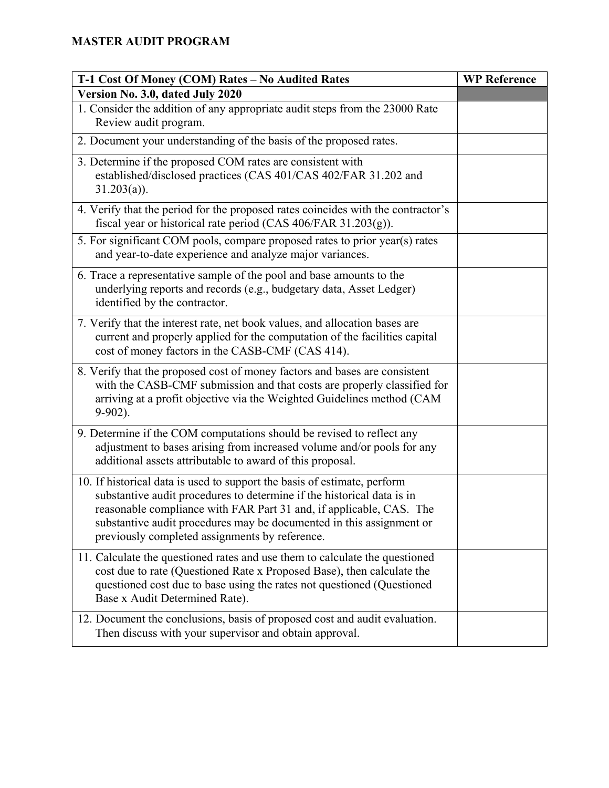| T-1 Cost Of Money (COM) Rates - No Audited Rates                                                                                                                                                                                                                                                                                                    | <b>WP Reference</b> |
|-----------------------------------------------------------------------------------------------------------------------------------------------------------------------------------------------------------------------------------------------------------------------------------------------------------------------------------------------------|---------------------|
| Version No. 3.0, dated July 2020                                                                                                                                                                                                                                                                                                                    |                     |
| 1. Consider the addition of any appropriate audit steps from the 23000 Rate<br>Review audit program.                                                                                                                                                                                                                                                |                     |
| 2. Document your understanding of the basis of the proposed rates.                                                                                                                                                                                                                                                                                  |                     |
| 3. Determine if the proposed COM rates are consistent with<br>established/disclosed practices (CAS 401/CAS 402/FAR 31.202 and<br>$31.203(a)$ ).                                                                                                                                                                                                     |                     |
| 4. Verify that the period for the proposed rates coincides with the contractor's<br>fiscal year or historical rate period (CAS 406/FAR 31.203(g)).                                                                                                                                                                                                  |                     |
| 5. For significant COM pools, compare proposed rates to prior year(s) rates<br>and year-to-date experience and analyze major variances.                                                                                                                                                                                                             |                     |
| 6. Trace a representative sample of the pool and base amounts to the<br>underlying reports and records (e.g., budgetary data, Asset Ledger)<br>identified by the contractor.                                                                                                                                                                        |                     |
| 7. Verify that the interest rate, net book values, and allocation bases are<br>current and properly applied for the computation of the facilities capital<br>cost of money factors in the CASB-CMF (CAS 414).                                                                                                                                       |                     |
| 8. Verify that the proposed cost of money factors and bases are consistent<br>with the CASB-CMF submission and that costs are properly classified for<br>arriving at a profit objective via the Weighted Guidelines method (CAM<br>$9-902$ ).                                                                                                       |                     |
| 9. Determine if the COM computations should be revised to reflect any<br>adjustment to bases arising from increased volume and/or pools for any<br>additional assets attributable to award of this proposal.                                                                                                                                        |                     |
| 10. If historical data is used to support the basis of estimate, perform<br>substantive audit procedures to determine if the historical data is in<br>reasonable compliance with FAR Part 31 and, if applicable, CAS. The<br>substantive audit procedures may be documented in this assignment or<br>previously completed assignments by reference. |                     |
| 11. Calculate the questioned rates and use them to calculate the questioned<br>cost due to rate (Questioned Rate x Proposed Base), then calculate the<br>questioned cost due to base using the rates not questioned (Questioned<br>Base x Audit Determined Rate).                                                                                   |                     |
| 12. Document the conclusions, basis of proposed cost and audit evaluation.<br>Then discuss with your supervisor and obtain approval.                                                                                                                                                                                                                |                     |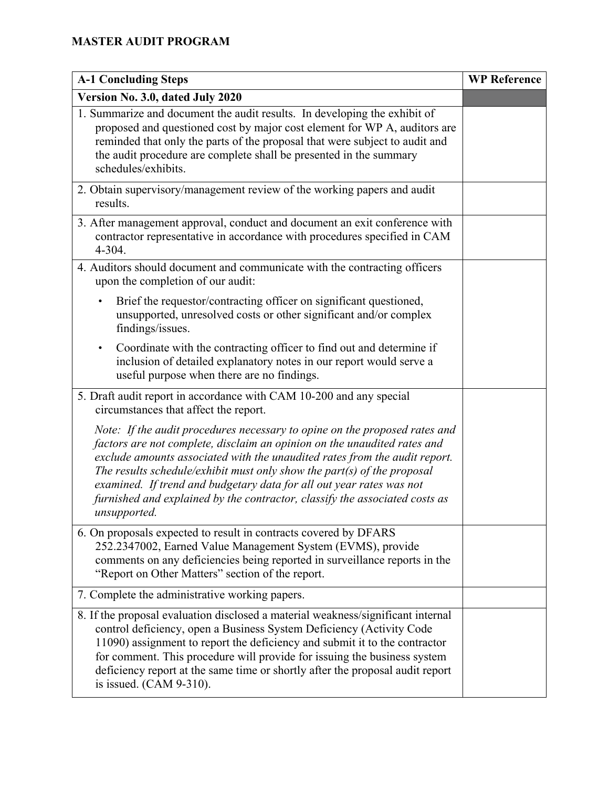| <b>A-1 Concluding Steps</b>                                                                                                                                                                                                                                                                                                                                                                                                                                                            | <b>WP Reference</b> |
|----------------------------------------------------------------------------------------------------------------------------------------------------------------------------------------------------------------------------------------------------------------------------------------------------------------------------------------------------------------------------------------------------------------------------------------------------------------------------------------|---------------------|
| Version No. 3.0, dated July 2020                                                                                                                                                                                                                                                                                                                                                                                                                                                       |                     |
| 1. Summarize and document the audit results. In developing the exhibit of<br>proposed and questioned cost by major cost element for WP A, auditors are<br>reminded that only the parts of the proposal that were subject to audit and<br>the audit procedure are complete shall be presented in the summary<br>schedules/exhibits.                                                                                                                                                     |                     |
| 2. Obtain supervisory/management review of the working papers and audit<br>results.                                                                                                                                                                                                                                                                                                                                                                                                    |                     |
| 3. After management approval, conduct and document an exit conference with<br>contractor representative in accordance with procedures specified in CAM<br>4-304.                                                                                                                                                                                                                                                                                                                       |                     |
| 4. Auditors should document and communicate with the contracting officers<br>upon the completion of our audit:                                                                                                                                                                                                                                                                                                                                                                         |                     |
| Brief the requestor/contracting officer on significant questioned,<br>$\bullet$<br>unsupported, unresolved costs or other significant and/or complex<br>findings/issues.                                                                                                                                                                                                                                                                                                               |                     |
| Coordinate with the contracting officer to find out and determine if<br>$\bullet$<br>inclusion of detailed explanatory notes in our report would serve a<br>useful purpose when there are no findings.                                                                                                                                                                                                                                                                                 |                     |
| 5. Draft audit report in accordance with CAM 10-200 and any special<br>circumstances that affect the report.                                                                                                                                                                                                                                                                                                                                                                           |                     |
| Note: If the audit procedures necessary to opine on the proposed rates and<br>factors are not complete, disclaim an opinion on the unaudited rates and<br>exclude amounts associated with the unaudited rates from the audit report.<br>The results schedule/exhibit must only show the part(s) of the proposal<br>examined. If trend and budgetary data for all out year rates was not<br>furnished and explained by the contractor, classify the associated costs as<br>unsupported. |                     |
| 6. On proposals expected to result in contracts covered by DFARS<br>252.2347002, Earned Value Management System (EVMS), provide<br>comments on any deficiencies being reported in surveillance reports in the<br>"Report on Other Matters" section of the report.                                                                                                                                                                                                                      |                     |
| 7. Complete the administrative working papers.                                                                                                                                                                                                                                                                                                                                                                                                                                         |                     |
| 8. If the proposal evaluation disclosed a material weakness/significant internal<br>control deficiency, open a Business System Deficiency (Activity Code<br>11090) assignment to report the deficiency and submit it to the contractor<br>for comment. This procedure will provide for issuing the business system<br>deficiency report at the same time or shortly after the proposal audit report<br>is issued. $(CAM 9-310)$ .                                                      |                     |